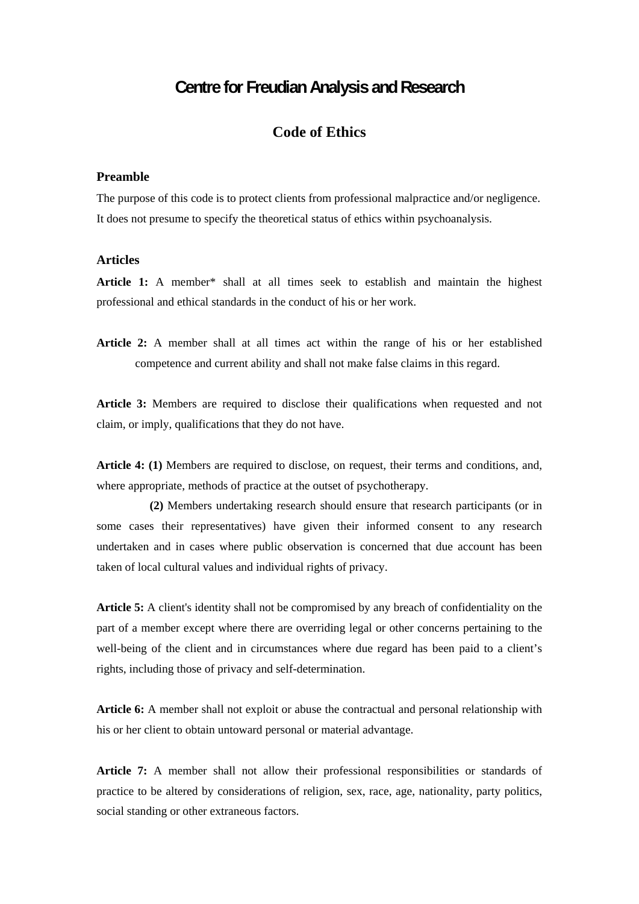## **Centre for Freudian Analysis and Research**

## **Code of Ethics**

## **Preamble**

The purpose of this code is to protect clients from professional malpractice and/or negligence. It does not presume to specify the theoretical status of ethics within psychoanalysis.

## **Articles**

**Article 1:** A member\* shall at all times seek to establish and maintain the highest professional and ethical standards in the conduct of his or her work.

**Article 2:** A member shall at all times act within the range of his or her established competence and current ability and shall not make false claims in this regard.

**Article 3:** Members are required to disclose their qualifications when requested and not claim, or imply, qualifications that they do not have.

**Article 4: (1)** Members are required to disclose, on request, their terms and conditions, and, where appropriate, methods of practice at the outset of psychotherapy.

 **(2)** Members undertaking research should ensure that research participants (or in some cases their representatives) have given their informed consent to any research undertaken and in cases where public observation is concerned that due account has been taken of local cultural values and individual rights of privacy.

**Article 5:** A client's identity shall not be compromised by any breach of confidentiality on the part of a member except where there are overriding legal or other concerns pertaining to the well-being of the client and in circumstances where due regard has been paid to a client's rights, including those of privacy and self-determination.

**Article 6:** A member shall not exploit or abuse the contractual and personal relationship with his or her client to obtain untoward personal or material advantage.

**Article 7:** A member shall not allow their professional responsibilities or standards of practice to be altered by considerations of religion, sex, race, age, nationality, party politics, social standing or other extraneous factors.